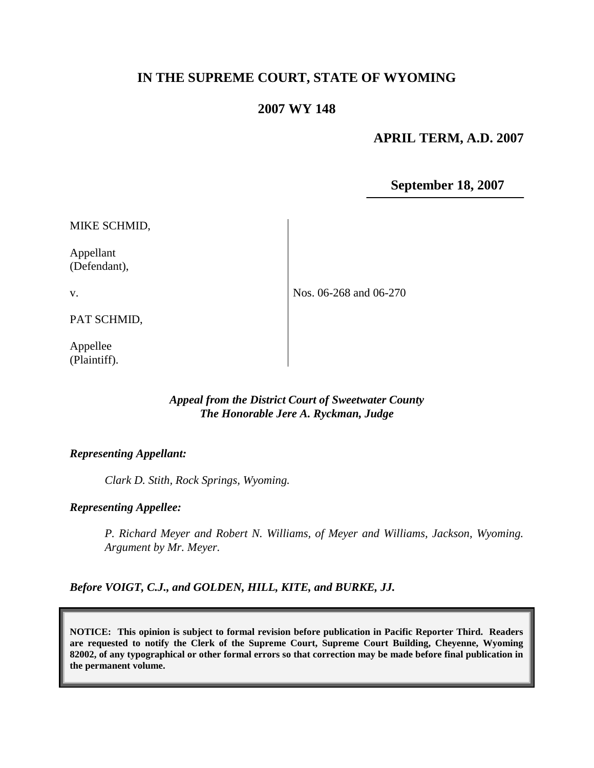# **IN THE SUPREME COURT, STATE OF WYOMING**

# **2007 WY 148**

## **APRIL TERM, A.D. 2007**

**September 18, 2007**

Appellant (Defendant),

v.

PAT SCHMID,

Appellee (Plaintiff). Nos. 06-268 and 06-270

#### *Appeal from the District Court of Sweetwater County The Honorable Jere A. Ryckman, Judge*

#### *Representing Appellant:*

*Clark D. Stith, Rock Springs, Wyoming.*

#### *Representing Appellee:*

*P. Richard Meyer and Robert N. Williams, of Meyer and Williams, Jackson, Wyoming. Argument by Mr. Meyer.*

*Before VOIGT, C.J., and GOLDEN, HILL, KITE, and BURKE, JJ.*

**NOTICE: This opinion is subject to formal revision before publication in Pacific Reporter Third. Readers are requested to notify the Clerk of the Supreme Court, Supreme Court Building, Cheyenne, Wyoming 82002, of any typographical or other formal errors so that correction may be made before final publication in the permanent volume.**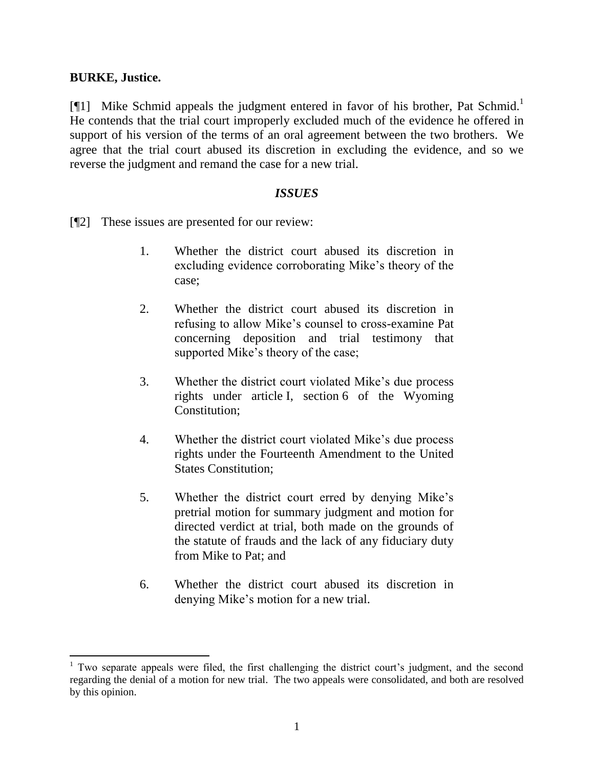### **BURKE, Justice.**

 $\overline{a}$ 

[¶1] Mike Schmid appeals the judgment entered in favor of his brother, Pat Schmid.<sup>1</sup> He contends that the trial court improperly excluded much of the evidence he offered in support of his version of the terms of an oral agreement between the two brothers. We agree that the trial court abused its discretion in excluding the evidence, and so we reverse the judgment and remand the case for a new trial.

## *ISSUES*

[¶2] These issues are presented for our review:

- 1. Whether the district court abused its discretion in excluding evidence corroborating Mike"s theory of the case;
- 2. Whether the district court abused its discretion in refusing to allow Mike"s counsel to cross-examine Pat concerning deposition and trial testimony that supported Mike's theory of the case;
- 3. Whether the district court violated Mike"s due process rights under article I, section 6 of the Wyoming Constitution;
- 4. Whether the district court violated Mike"s due process rights under the Fourteenth Amendment to the United States Constitution;
- 5. Whether the district court erred by denying Mike"s pretrial motion for summary judgment and motion for directed verdict at trial, both made on the grounds of the statute of frauds and the lack of any fiduciary duty from Mike to Pat; and
- 6. Whether the district court abused its discretion in denying Mike"s motion for a new trial.

 $1$  Two separate appeals were filed, the first challenging the district court's judgment, and the second regarding the denial of a motion for new trial. The two appeals were consolidated, and both are resolved by this opinion.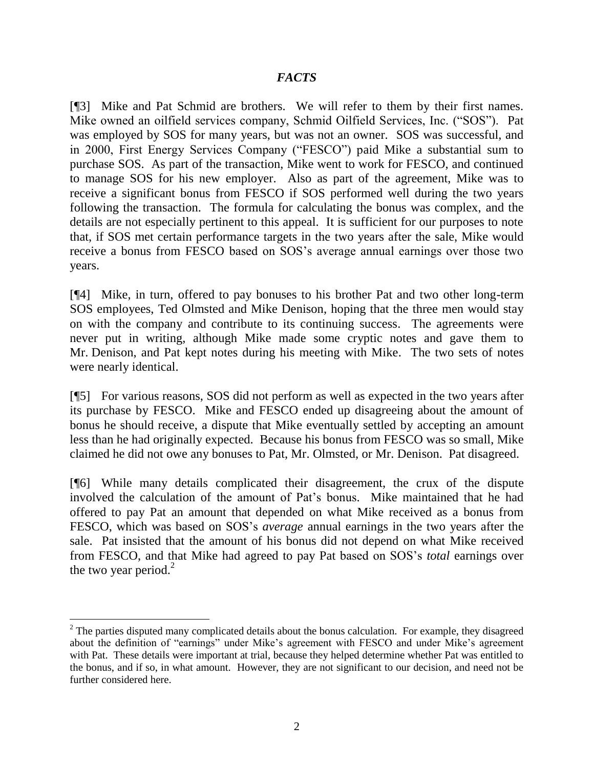## *FACTS*

[¶3] Mike and Pat Schmid are brothers. We will refer to them by their first names. Mike owned an oilfield services company, Schmid Oilfield Services, Inc. ("SOS"). Pat was employed by SOS for many years, but was not an owner. SOS was successful, and in 2000, First Energy Services Company ("FESCO") paid Mike a substantial sum to purchase SOS. As part of the transaction, Mike went to work for FESCO, and continued to manage SOS for his new employer. Also as part of the agreement, Mike was to receive a significant bonus from FESCO if SOS performed well during the two years following the transaction. The formula for calculating the bonus was complex, and the details are not especially pertinent to this appeal. It is sufficient for our purposes to note that, if SOS met certain performance targets in the two years after the sale, Mike would receive a bonus from FESCO based on SOS"s average annual earnings over those two years.

[¶4] Mike, in turn, offered to pay bonuses to his brother Pat and two other long-term SOS employees, Ted Olmsted and Mike Denison, hoping that the three men would stay on with the company and contribute to its continuing success. The agreements were never put in writing, although Mike made some cryptic notes and gave them to Mr. Denison, and Pat kept notes during his meeting with Mike. The two sets of notes were nearly identical.

[¶5] For various reasons, SOS did not perform as well as expected in the two years after its purchase by FESCO. Mike and FESCO ended up disagreeing about the amount of bonus he should receive, a dispute that Mike eventually settled by accepting an amount less than he had originally expected. Because his bonus from FESCO was so small, Mike claimed he did not owe any bonuses to Pat, Mr. Olmsted, or Mr. Denison. Pat disagreed.

[¶6] While many details complicated their disagreement, the crux of the dispute involved the calculation of the amount of Pat"s bonus. Mike maintained that he had offered to pay Pat an amount that depended on what Mike received as a bonus from FESCO, which was based on SOS"s *average* annual earnings in the two years after the sale. Pat insisted that the amount of his bonus did not depend on what Mike received from FESCO, and that Mike had agreed to pay Pat based on SOS"s *total* earnings over the two year period. $2^2$ 

 $\overline{a}$ 

 $2$  The parties disputed many complicated details about the bonus calculation. For example, they disagreed about the definition of "earnings" under Mike's agreement with FESCO and under Mike's agreement with Pat. These details were important at trial, because they helped determine whether Pat was entitled to the bonus, and if so, in what amount. However, they are not significant to our decision, and need not be further considered here.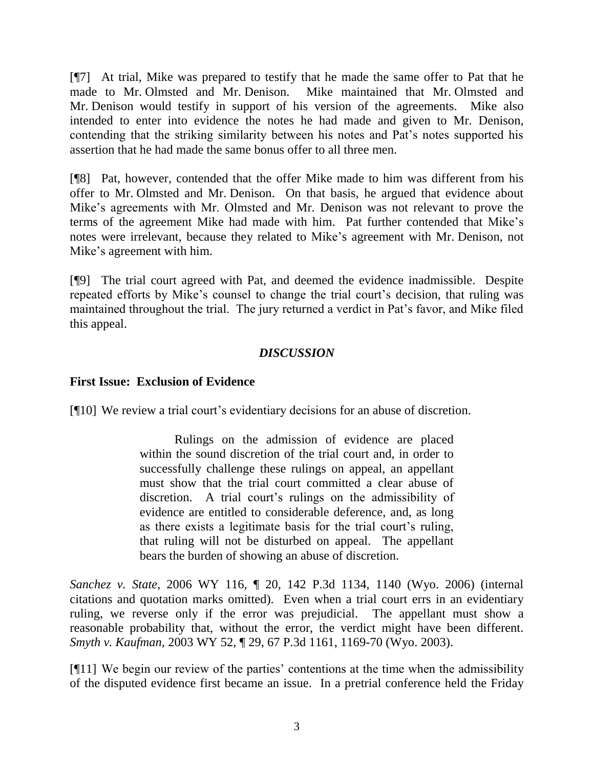[¶7] At trial, Mike was prepared to testify that he made the same offer to Pat that he made to Mr. Olmsted and Mr. Denison. Mike maintained that Mr. Olmsted and Mr. Denison would testify in support of his version of the agreements. Mike also intended to enter into evidence the notes he had made and given to Mr. Denison, contending that the striking similarity between his notes and Pat"s notes supported his assertion that he had made the same bonus offer to all three men.

[¶8] Pat, however, contended that the offer Mike made to him was different from his offer to Mr. Olmsted and Mr. Denison. On that basis, he argued that evidence about Mike"s agreements with Mr. Olmsted and Mr. Denison was not relevant to prove the terms of the agreement Mike had made with him. Pat further contended that Mike"s notes were irrelevant, because they related to Mike"s agreement with Mr. Denison, not Mike"s agreement with him.

[¶9] The trial court agreed with Pat, and deemed the evidence inadmissible. Despite repeated efforts by Mike's counsel to change the trial court's decision, that ruling was maintained throughout the trial. The jury returned a verdict in Pat"s favor, and Mike filed this appeal.

# *DISCUSSION*

# **First Issue: Exclusion of Evidence**

[¶10] We review a trial court's evidentiary decisions for an abuse of discretion.

Rulings on the admission of evidence are placed within the sound discretion of the trial court and, in order to successfully challenge these rulings on appeal, an appellant must show that the trial court committed a clear abuse of discretion. A trial court's rulings on the admissibility of evidence are entitled to considerable deference, and, as long as there exists a legitimate basis for the trial court"s ruling, that ruling will not be disturbed on appeal. The appellant bears the burden of showing an abuse of discretion.

*Sanchez v. State*, 2006 WY 116, ¶ 20, 142 P.3d 1134, 1140 (Wyo. 2006) (internal citations and quotation marks omitted). Even when a trial court errs in an evidentiary ruling, we reverse only if the error was prejudicial. The appellant must show a reasonable probability that, without the error, the verdict might have been different. *Smyth v. Kaufman*, 2003 WY 52, ¶ 29, 67 P.3d 1161, 1169-70 (Wyo. 2003).

[¶11] We begin our review of the parties" contentions at the time when the admissibility of the disputed evidence first became an issue. In a pretrial conference held the Friday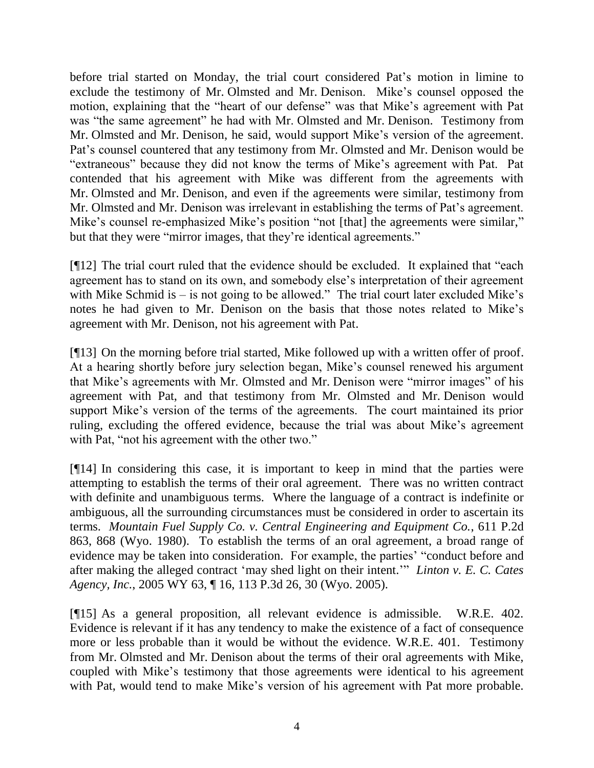before trial started on Monday, the trial court considered Pat's motion in limine to exclude the testimony of Mr. Olmsted and Mr. Denison. Mike"s counsel opposed the motion, explaining that the "heart of our defense" was that Mike"s agreement with Pat was "the same agreement" he had with Mr. Olmsted and Mr. Denison. Testimony from Mr. Olmsted and Mr. Denison, he said, would support Mike"s version of the agreement. Pat's counsel countered that any testimony from Mr. Olmsted and Mr. Denison would be "extraneous" because they did not know the terms of Mike"s agreement with Pat. Pat contended that his agreement with Mike was different from the agreements with Mr. Olmsted and Mr. Denison, and even if the agreements were similar, testimony from Mr. Olmsted and Mr. Denison was irrelevant in establishing the terms of Pat"s agreement. Mike's counsel re-emphasized Mike's position "not [that] the agreements were similar," but that they were "mirror images, that they"re identical agreements."

[¶12] The trial court ruled that the evidence should be excluded. It explained that "each agreement has to stand on its own, and somebody else's interpretation of their agreement with Mike Schmid is – is not going to be allowed." The trial court later excluded Mike's notes he had given to Mr. Denison on the basis that those notes related to Mike"s agreement with Mr. Denison, not his agreement with Pat.

[¶13] On the morning before trial started, Mike followed up with a written offer of proof. At a hearing shortly before jury selection began, Mike"s counsel renewed his argument that Mike"s agreements with Mr. Olmsted and Mr. Denison were "mirror images" of his agreement with Pat, and that testimony from Mr. Olmsted and Mr. Denison would support Mike's version of the terms of the agreements. The court maintained its prior ruling, excluding the offered evidence, because the trial was about Mike"s agreement with Pat, "not his agreement with the other two."

[¶14] In considering this case, it is important to keep in mind that the parties were attempting to establish the terms of their oral agreement. There was no written contract with definite and unambiguous terms. Where the language of a contract is indefinite or ambiguous, all the surrounding circumstances must be considered in order to ascertain its terms. *Mountain Fuel Supply Co. v. Central Engineering and Equipment Co.*, 611 P.2d 863, 868 (Wyo. 1980). To establish the terms of an oral agreement, a broad range of evidence may be taken into consideration. For example, the parties' "conduct before and after making the alleged contract "may shed light on their intent."" *Linton v. E. C. Cates Agency, Inc.*, 2005 WY 63, ¶ 16, 113 P.3d 26, 30 (Wyo. 2005).

[¶15] As a general proposition, all relevant evidence is admissible. W.R.E. 402. Evidence is relevant if it has any tendency to make the existence of a fact of consequence more or less probable than it would be without the evidence. W.R.E. 401. Testimony from Mr. Olmsted and Mr. Denison about the terms of their oral agreements with Mike, coupled with Mike"s testimony that those agreements were identical to his agreement with Pat, would tend to make Mike's version of his agreement with Pat more probable.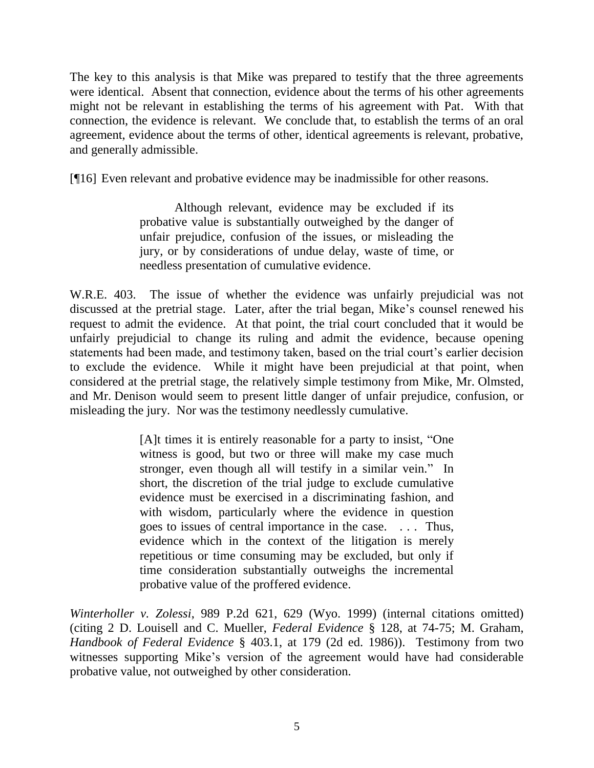The key to this analysis is that Mike was prepared to testify that the three agreements were identical. Absent that connection, evidence about the terms of his other agreements might not be relevant in establishing the terms of his agreement with Pat. With that connection, the evidence is relevant. We conclude that, to establish the terms of an oral agreement, evidence about the terms of other, identical agreements is relevant, probative, and generally admissible.

[¶16] Even relevant and probative evidence may be inadmissible for other reasons.

Although relevant, evidence may be excluded if its probative value is substantially outweighed by the danger of unfair prejudice, confusion of the issues, or misleading the jury, or by considerations of undue delay, waste of time, or needless presentation of cumulative evidence.

W.R.E. 403. The issue of whether the evidence was unfairly prejudicial was not discussed at the pretrial stage. Later, after the trial began, Mike"s counsel renewed his request to admit the evidence. At that point, the trial court concluded that it would be unfairly prejudicial to change its ruling and admit the evidence, because opening statements had been made, and testimony taken, based on the trial court"s earlier decision to exclude the evidence. While it might have been prejudicial at that point, when considered at the pretrial stage, the relatively simple testimony from Mike, Mr. Olmsted, and Mr. Denison would seem to present little danger of unfair prejudice, confusion, or misleading the jury. Nor was the testimony needlessly cumulative.

> [A]t times it is entirely reasonable for a party to insist, "One witness is good, but two or three will make my case much stronger, even though all will testify in a similar vein." In short, the discretion of the trial judge to exclude cumulative evidence must be exercised in a discriminating fashion, and with wisdom, particularly where the evidence in question goes to issues of central importance in the case. . . . Thus, evidence which in the context of the litigation is merely repetitious or time consuming may be excluded, but only if time consideration substantially outweighs the incremental probative value of the proffered evidence.

*Winterholler v. Zolessi*, 989 P.2d 621, 629 (Wyo. 1999) (internal citations omitted) (citing 2 D. Louisell and C. Mueller, *Federal Evidence* § 128, at 74-75; M. Graham, *Handbook of Federal Evidence* § 403.1, at 179 (2d ed. 1986)). Testimony from two witnesses supporting Mike's version of the agreement would have had considerable probative value, not outweighed by other consideration.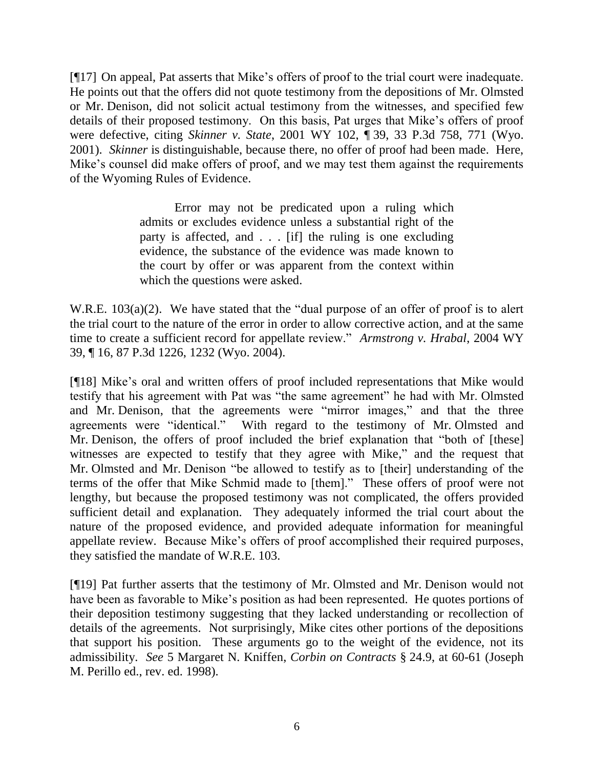[¶17] On appeal, Pat asserts that Mike's offers of proof to the trial court were inadequate. He points out that the offers did not quote testimony from the depositions of Mr. Olmsted or Mr. Denison, did not solicit actual testimony from the witnesses, and specified few details of their proposed testimony. On this basis, Pat urges that Mike"s offers of proof were defective, citing *Skinner v. State*, 2001 WY 102, ¶ 39, 33 P.3d 758, 771 (Wyo. 2001). *Skinner* is distinguishable, because there, no offer of proof had been made. Here, Mike's counsel did make offers of proof, and we may test them against the requirements of the Wyoming Rules of Evidence.

> Error may not be predicated upon a ruling which admits or excludes evidence unless a substantial right of the party is affected, and . . . [if] the ruling is one excluding evidence, the substance of the evidence was made known to the court by offer or was apparent from the context within which the questions were asked.

W.R.E. 103(a)(2). We have stated that the "dual purpose of an offer of proof is to alert the trial court to the nature of the error in order to allow corrective action, and at the same time to create a sufficient record for appellate review." *Armstrong v. Hrabal*, 2004 WY 39, ¶ 16, 87 P.3d 1226, 1232 (Wyo. 2004).

[¶18] Mike"s oral and written offers of proof included representations that Mike would testify that his agreement with Pat was "the same agreement" he had with Mr. Olmsted and Mr. Denison, that the agreements were "mirror images," and that the three agreements were "identical." With regard to the testimony of Mr. Olmsted and Mr. Denison, the offers of proof included the brief explanation that "both of [these] witnesses are expected to testify that they agree with Mike," and the request that Mr. Olmsted and Mr. Denison "be allowed to testify as to [their] understanding of the terms of the offer that Mike Schmid made to [them]." These offers of proof were not lengthy, but because the proposed testimony was not complicated, the offers provided sufficient detail and explanation. They adequately informed the trial court about the nature of the proposed evidence, and provided adequate information for meaningful appellate review. Because Mike"s offers of proof accomplished their required purposes, they satisfied the mandate of W.R.E. 103.

[¶19] Pat further asserts that the testimony of Mr. Olmsted and Mr. Denison would not have been as favorable to Mike's position as had been represented. He quotes portions of their deposition testimony suggesting that they lacked understanding or recollection of details of the agreements. Not surprisingly, Mike cites other portions of the depositions that support his position. These arguments go to the weight of the evidence, not its admissibility. *See* 5 Margaret N. Kniffen, *Corbin on Contracts* § 24.9, at 60-61 (Joseph M. Perillo ed., rev. ed. 1998).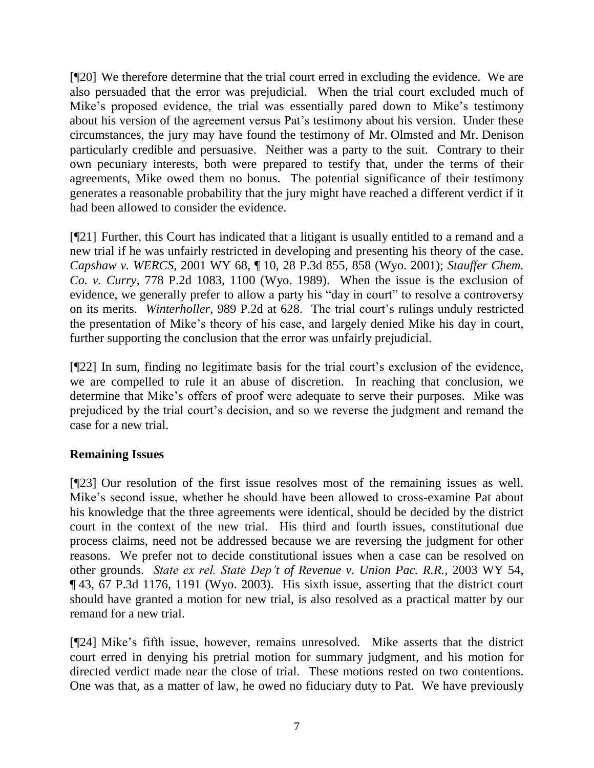[¶20] We therefore determine that the trial court erred in excluding the evidence. We are also persuaded that the error was prejudicial. When the trial court excluded much of Mike's proposed evidence, the trial was essentially pared down to Mike's testimony about his version of the agreement versus Pat"s testimony about his version. Under these circumstances, the jury may have found the testimony of Mr. Olmsted and Mr. Denison particularly credible and persuasive. Neither was a party to the suit. Contrary to their own pecuniary interests, both were prepared to testify that, under the terms of their agreements, Mike owed them no bonus. The potential significance of their testimony generates a reasonable probability that the jury might have reached a different verdict if it had been allowed to consider the evidence.

[¶21] Further, this Court has indicated that a litigant is usually entitled to a remand and a new trial if he was unfairly restricted in developing and presenting his theory of the case. *Capshaw v. WERCS*, 2001 WY 68, ¶ 10, 28 P.3d 855, 858 (Wyo. 2001); *Stauffer Chem. Co. v. Curry*, 778 P.2d 1083, 1100 (Wyo. 1989). When the issue is the exclusion of evidence, we generally prefer to allow a party his "day in court" to resolve a controversy on its merits. *Winterholler*, 989 P.2d at 628. The trial court"s rulings unduly restricted the presentation of Mike"s theory of his case, and largely denied Mike his day in court, further supporting the conclusion that the error was unfairly prejudicial.

[¶22] In sum, finding no legitimate basis for the trial court's exclusion of the evidence, we are compelled to rule it an abuse of discretion. In reaching that conclusion, we determine that Mike's offers of proof were adequate to serve their purposes. Mike was prejudiced by the trial court"s decision, and so we reverse the judgment and remand the case for a new trial.

# **Remaining Issues**

[¶23] Our resolution of the first issue resolves most of the remaining issues as well. Mike's second issue, whether he should have been allowed to cross-examine Pat about his knowledge that the three agreements were identical, should be decided by the district court in the context of the new trial. His third and fourth issues, constitutional due process claims, need not be addressed because we are reversing the judgment for other reasons. We prefer not to decide constitutional issues when a case can be resolved on other grounds. *State ex rel. State Dep't of Revenue v. Union Pac. R.R.*, 2003 WY 54, ¶ 43, 67 P.3d 1176, 1191 (Wyo. 2003). His sixth issue, asserting that the district court should have granted a motion for new trial, is also resolved as a practical matter by our remand for a new trial.

[¶24] Mike's fifth issue, however, remains unresolved. Mike asserts that the district court erred in denying his pretrial motion for summary judgment, and his motion for directed verdict made near the close of trial. These motions rested on two contentions. One was that, as a matter of law, he owed no fiduciary duty to Pat. We have previously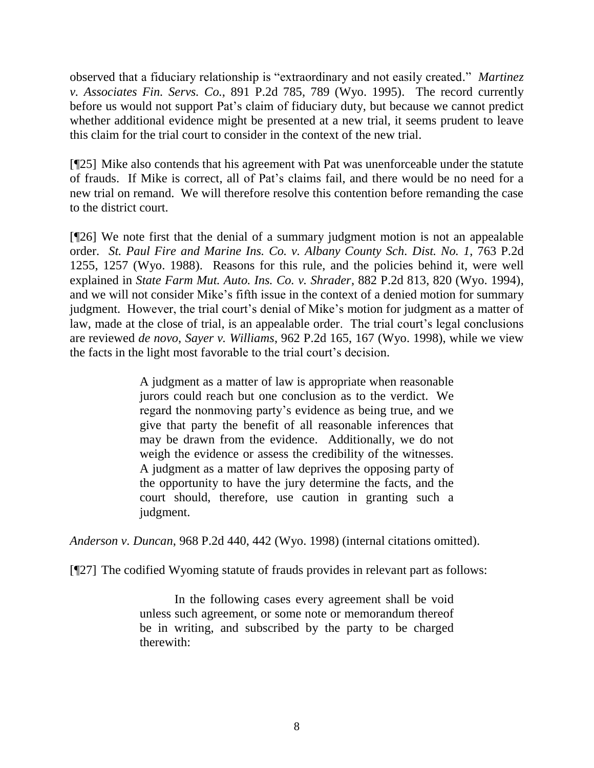observed that a fiduciary relationship is "extraordinary and not easily created." *Martinez v. Associates Fin. Servs. Co.*, 891 P.2d 785, 789 (Wyo. 1995). The record currently before us would not support Pat's claim of fiduciary duty, but because we cannot predict whether additional evidence might be presented at a new trial, it seems prudent to leave this claim for the trial court to consider in the context of the new trial.

[¶25] Mike also contends that his agreement with Pat was unenforceable under the statute of frauds. If Mike is correct, all of Pat"s claims fail, and there would be no need for a new trial on remand. We will therefore resolve this contention before remanding the case to the district court.

[¶26] We note first that the denial of a summary judgment motion is not an appealable order. *St. Paul Fire and Marine Ins. Co. v. Albany County Sch. Dist. No. 1*, 763 P.2d 1255, 1257 (Wyo. 1988). Reasons for this rule, and the policies behind it, were well explained in *State Farm Mut. Auto. Ins. Co. v. Shrader*, 882 P.2d 813, 820 (Wyo. 1994), and we will not consider Mike's fifth issue in the context of a denied motion for summary judgment. However, the trial court's denial of Mike's motion for judgment as a matter of law, made at the close of trial, is an appealable order. The trial court's legal conclusions are reviewed *de novo*, *Sayer v. Williams*, 962 P.2d 165, 167 (Wyo. 1998), while we view the facts in the light most favorable to the trial court"s decision.

> A judgment as a matter of law is appropriate when reasonable jurors could reach but one conclusion as to the verdict. We regard the nonmoving party"s evidence as being true, and we give that party the benefit of all reasonable inferences that may be drawn from the evidence. Additionally, we do not weigh the evidence or assess the credibility of the witnesses. A judgment as a matter of law deprives the opposing party of the opportunity to have the jury determine the facts, and the court should, therefore, use caution in granting such a judgment.

*Anderson v. Duncan*, 968 P.2d 440, 442 (Wyo. 1998) (internal citations omitted).

[¶27] The codified Wyoming statute of frauds provides in relevant part as follows:

In the following cases every agreement shall be void unless such agreement, or some note or memorandum thereof be in writing, and subscribed by the party to be charged therewith: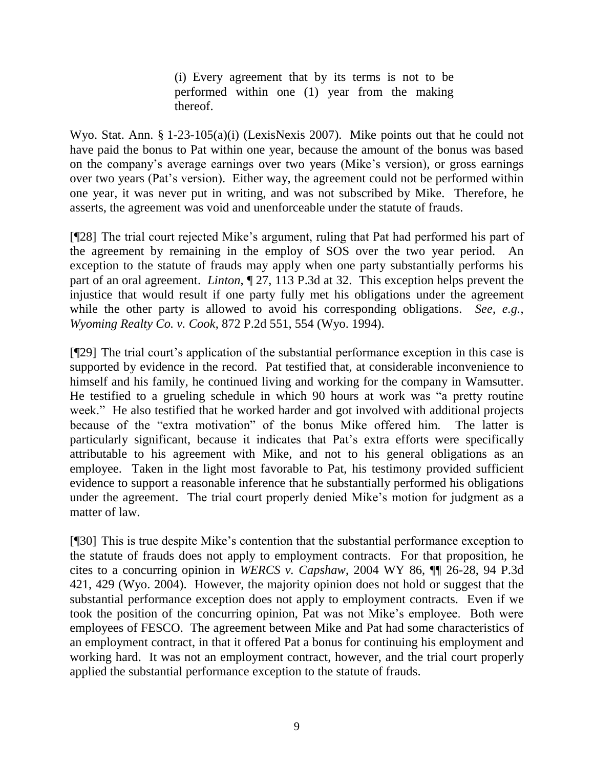(i) Every agreement that by its terms is not to be performed within one (1) year from the making thereof.

Wyo. Stat. Ann. § 1-23-105(a)(i) (LexisNexis 2007). Mike points out that he could not have paid the bonus to Pat within one year, because the amount of the bonus was based on the company"s average earnings over two years (Mike"s version), or gross earnings over two years (Pat"s version). Either way, the agreement could not be performed within one year, it was never put in writing, and was not subscribed by Mike. Therefore, he asserts, the agreement was void and unenforceable under the statute of frauds.

[¶28] The trial court rejected Mike"s argument, ruling that Pat had performed his part of the agreement by remaining in the employ of SOS over the two year period. An exception to the statute of frauds may apply when one party substantially performs his part of an oral agreement. *Linton*, ¶ 27, 113 P.3d at 32. This exception helps prevent the injustice that would result if one party fully met his obligations under the agreement while the other party is allowed to avoid his corresponding obligations. *See*, *e.g.*, *Wyoming Realty Co. v. Cook*, 872 P.2d 551, 554 (Wyo. 1994).

[\mepseud] The trial court's application of the substantial performance exception in this case is supported by evidence in the record. Pat testified that, at considerable inconvenience to himself and his family, he continued living and working for the company in Wamsutter. He testified to a grueling schedule in which 90 hours at work was "a pretty routine week." He also testified that he worked harder and got involved with additional projects because of the "extra motivation" of the bonus Mike offered him. The latter is particularly significant, because it indicates that Pat"s extra efforts were specifically attributable to his agreement with Mike, and not to his general obligations as an employee. Taken in the light most favorable to Pat, his testimony provided sufficient evidence to support a reasonable inference that he substantially performed his obligations under the agreement. The trial court properly denied Mike"s motion for judgment as a matter of law.

[¶30] This is true despite Mike"s contention that the substantial performance exception to the statute of frauds does not apply to employment contracts. For that proposition, he cites to a concurring opinion in *WERCS v. Capshaw*, 2004 WY 86, ¶¶ 26-28, 94 P.3d 421, 429 (Wyo. 2004). However, the majority opinion does not hold or suggest that the substantial performance exception does not apply to employment contracts. Even if we took the position of the concurring opinion, Pat was not Mike"s employee. Both were employees of FESCO. The agreement between Mike and Pat had some characteristics of an employment contract, in that it offered Pat a bonus for continuing his employment and working hard. It was not an employment contract, however, and the trial court properly applied the substantial performance exception to the statute of frauds.